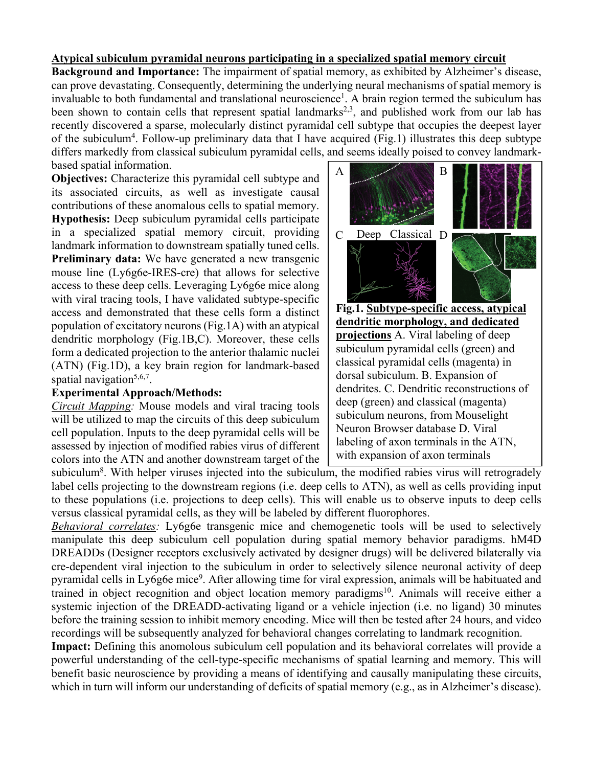## **Atypical subiculum pyramidal neurons participating in a specialized spatial memory circuit**

**Background and Importance:** The impairment of spatial memory, as exhibited by Alzheimer's disease, can prove devastating. Consequently, determining the underlying neural mechanisms of spatial memory is invaluable to both fundamental and translational neuroscience<sup>1</sup>. A brain region termed the subiculum has been shown to contain cells that represent spatial landmarks<sup>2,3</sup>, and published work from our lab has recently discovered a sparse, molecularly distinct pyramidal cell subtype that occupies the deepest layer of the subiculum<sup>4</sup>. Follow-up preliminary data that I have acquired (Fig.1) illustrates this deep subtype differs markedly from classical subiculum pyramidal cells, and seems ideally poised to convey landmarkbased spatial information.

**Objectives:** Characterize this pyramidal cell subtype and its associated circuits, as well as investigate causal contributions of these anomalous cells to spatial memory. **Hypothesis:** Deep subiculum pyramidal cells participate in a specialized spatial memory circuit, providing landmark information to downstream spatially tuned cells. **Preliminary data:** We have generated a new transgenic mouse line (Ly6g6e-IRES-cre) that allows for selective access to these deep cells. Leveraging Ly6g6e mice along with viral tracing tools, I have validated subtype-specific access and demonstrated that these cells form a distinct population of excitatory neurons (Fig.1A) with an atypical dendritic morphology (Fig.1B,C). Moreover, these cells form a dedicated projection to the anterior thalamic nuclei (ATN) (Fig.1D), a key brain region for landmark-based spatial navigation $5,6,7$ .

## **Experimental Approach/Methods:**

*Circuit Mapping:* Mouse models and viral tracing tools will be utilized to map the circuits of this deep subiculum cell population. Inputs to the deep pyramidal cells will be assessed by injection of modified rabies virus of different colors into the ATN and another downstream target of the



**Fig.1. Subtype-specific access, atypical dendritic morphology, and dedicated projections** A. Viral labeling of deep subiculum pyramidal cells (green) and classical pyramidal cells (magenta) in dorsal subiculum. B. Expansion of dendrites. C. Dendritic reconstructions of deep (green) and classical (magenta) subiculum neurons, from Mouselight Neuron Browser database D. Viral labeling of axon terminals in the ATN, with expansion of axon terminals

subiculum<sup>8</sup>. With helper viruses injected into the subiculum, the modified rabies virus will retrogradely label cells projecting to the downstream regions (i.e. deep cells to ATN), as well as cells providing input to these populations (i.e. projections to deep cells). This will enable us to observe inputs to deep cells versus classical pyramidal cells, as they will be labeled by different fluorophores.

*Behavioral correlates:* Ly6g6e transgenic mice and chemogenetic tools will be used to selectively manipulate this deep subiculum cell population during spatial memory behavior paradigms. hM4D DREADDs (Designer receptors exclusively activated by designer drugs) will be delivered bilaterally via cre-dependent viral injection to the subiculum in order to selectively silence neuronal activity of deep pyramidal cells in Ly6g6e mice<sup>9</sup>. After allowing time for viral expression, animals will be habituated and trained in object recognition and object location memory paradigms<sup>10</sup>. Animals will receive either a systemic injection of the DREADD-activating ligand or a vehicle injection (i.e. no ligand) 30 minutes before the training session to inhibit memory encoding. Mice will then be tested after 24 hours, and video recordings will be subsequently analyzed for behavioral changes correlating to landmark recognition.

**Impact:** Defining this anomolous subiculum cell population and its behavioral correlates will provide a powerful understanding of the cell-type-specific mechanisms of spatial learning and memory. This will benefit basic neuroscience by providing a means of identifying and causally manipulating these circuits, which in turn will inform our understanding of deficits of spatial memory (e.g., as in Alzheimer's disease).